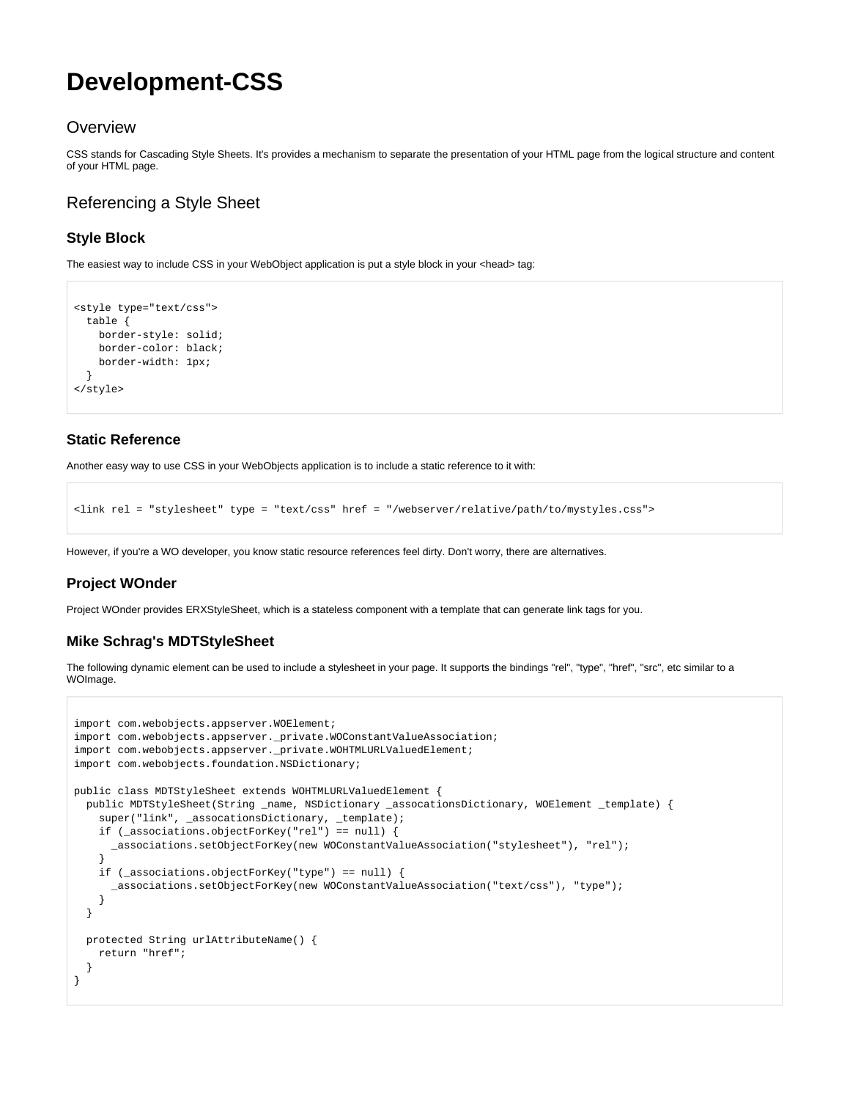# **Development-CSS**

### **Overview**

CSS stands for Cascading Style Sheets. It's provides a mechanism to separate the presentation of your HTML page from the logical structure and content of your HTML page.

# Referencing a Style Sheet

#### **Style Block**

The easiest way to include CSS in your WebObject application is put a style block in your <head> tag:

```
<style type="text/css">
  table {
    border-style: solid;
    border-color: black;
    border-width: 1px;
  }
</style>
```
#### **Static Reference**

Another easy way to use CSS in your WebObjects application is to include a static reference to it with:

```
<link rel = "stylesheet" type = "text/css" href = "/webserver/relative/path/to/mystyles.css">
```
However, if you're a WO developer, you know static resource references feel dirty. Don't worry, there are alternatives.

#### **Project WOnder**

Project WOnder provides ERXStyleSheet, which is a stateless component with a template that can generate link tags for you.

#### **Mike Schrag's MDTStyleSheet**

The following dynamic element can be used to include a stylesheet in your page. It supports the bindings "rel", "type", "href", "src", etc similar to a WOImage.

```
import com.webobjects.appserver.WOElement;
import com.webobjects.appserver._private.WOConstantValueAssociation;
import com.webobjects.appserver._private.WOHTMLURLValuedElement;
import com.webobjects.foundation.NSDictionary;
public class MDTStyleSheet extends WOHTMLURLValuedElement {
  public MDTStyleSheet(String _name, NSDictionary _assocationsDictionary, WOElement _template) {
    super("link", _assocationsDictionary, _template);
    if (_associations.objectForKey("rel") == null) {
      _associations.setObjectForKey(new WOConstantValueAssociation("stylesheet"), "rel");
 }
    if (_associations.objectForKey("type") == null) {
       _associations.setObjectForKey(new WOConstantValueAssociation("text/css"), "type");
     }
  }
  protected String urlAttributeName() {
    return "href";
 }
}
```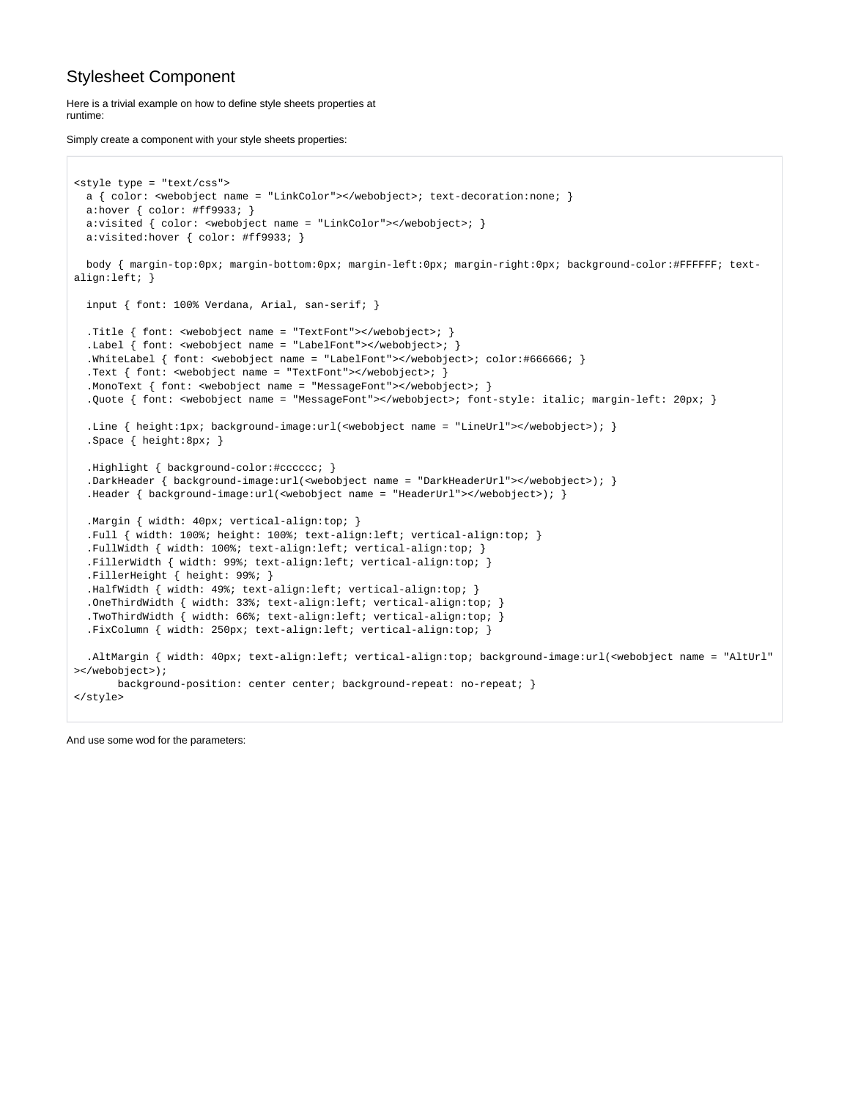# Stylesheet Component

Here is a trivial example on how to define style sheets properties at runtime:

Simply create a component with your style sheets properties:

```
<style type = "text/css">
  a { color: <webobject name = "LinkColor"></webobject>; text-decoration:none; }
  a:hover { color: #ff9933; }
  a:visited { color: <webobject name = "LinkColor"></webobject>; }
  a:visited:hover { color: #ff9933; }
  body { margin-top:0px; margin-bottom:0px; margin-left:0px; margin-right:0px; background-color:#FFFFFF; text-
align:left; }
  input { font: 100% Verdana, Arial, san-serif; }
   .Title { font: <webobject name = "TextFont"></webobject>; }
   .Label { font: <webobject name = "LabelFont"></webobject>; }
   .WhiteLabel { font: <webobject name = "LabelFont"></webobject>; color:#666666; }
   .Text { font: <webobject name = "TextFont"></webobject>; }
  .MonoText { font: <webobject name = "MessageFont"></webobject>; }
  .Quote { font: <webobject name = "MessageFont"></webobject>; font-style: italic; margin-left: 20px; }
  .Line { height:1px; background-image:url(<webobject name = "LineUrl"></webobject>); }
  .Space { height:8px; }
   .Highlight { background-color:#cccccc; }
  .DarkHeader { background-image:url(<webobject name = "DarkHeaderUrl"></webobject>); }
  .Header { background-image:url(<webobject name = "HeaderUrl"></webobject>); }
   .Margin { width: 40px; vertical-align:top; }
   .Full { width: 100%; height: 100%; text-align:left; vertical-align:top; }
   .FullWidth { width: 100%; text-align:left; vertical-align:top; }
  .FillerWidth { width: 99%; text-align:left; vertical-align:top; }
  .FillerHeight { height: 99%; }
  .HalfWidth { width: 49%; text-align:left; vertical-align:top; }
  .OneThirdWidth { width: 33%; text-align:left; vertical-align:top; }
   .TwoThirdWidth { width: 66%; text-align:left; vertical-align:top; }
   .FixColumn { width: 250px; text-align:left; vertical-align:top; }
  .AltMargin { width: 40px; text-align:left; vertical-align:top; background-image:url(<webobject name = "AltUrl"
></webobject>);
       background-position: center center; background-repeat: no-repeat; }
</style>
```
And use some wod for the parameters: